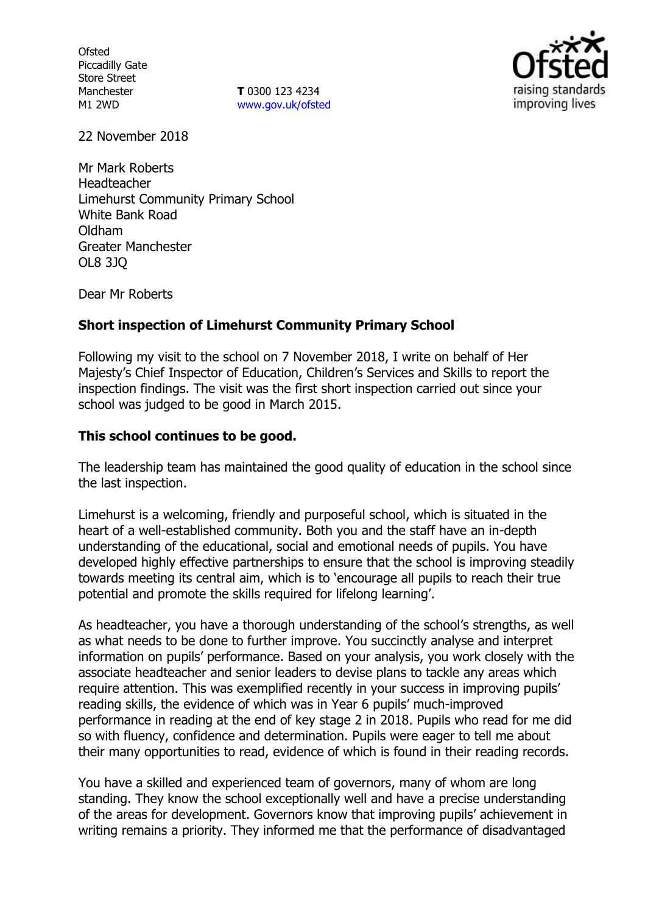**Ofsted** Piccadilly Gate Store Street Manchester M1 2WD

**T** 0300 123 4234 www.gov.uk/ofsted



22 November 2018

Mr Mark Roberts Headteacher Limehurst Community Primary School White Bank Road Oldham Greater Manchester OL8 3JQ

Dear Mr Roberts

## **Short inspection of Limehurst Community Primary School**

Following my visit to the school on 7 November 2018, I write on behalf of Her Majesty's Chief Inspector of Education, Children's Services and Skills to report the inspection findings. The visit was the first short inspection carried out since your school was judged to be good in March 2015.

## **This school continues to be good.**

The leadership team has maintained the good quality of education in the school since the last inspection.

Limehurst is a welcoming, friendly and purposeful school, which is situated in the heart of a well-established community. Both you and the staff have an in-depth understanding of the educational, social and emotional needs of pupils. You have developed highly effective partnerships to ensure that the school is improving steadily towards meeting its central aim, which is to 'encourage all pupils to reach their true potential and promote the skills required for lifelong learning'.

As headteacher, you have a thorough understanding of the school's strengths, as well as what needs to be done to further improve. You succinctly analyse and interpret information on pupils' performance. Based on your analysis, you work closely with the associate headteacher and senior leaders to devise plans to tackle any areas which require attention. This was exemplified recently in your success in improving pupils' reading skills, the evidence of which was in Year 6 pupils' much-improved performance in reading at the end of key stage 2 in 2018. Pupils who read for me did so with fluency, confidence and determination. Pupils were eager to tell me about their many opportunities to read, evidence of which is found in their reading records.

You have a skilled and experienced team of governors, many of whom are long standing. They know the school exceptionally well and have a precise understanding of the areas for development. Governors know that improving pupils' achievement in writing remains a priority. They informed me that the performance of disadvantaged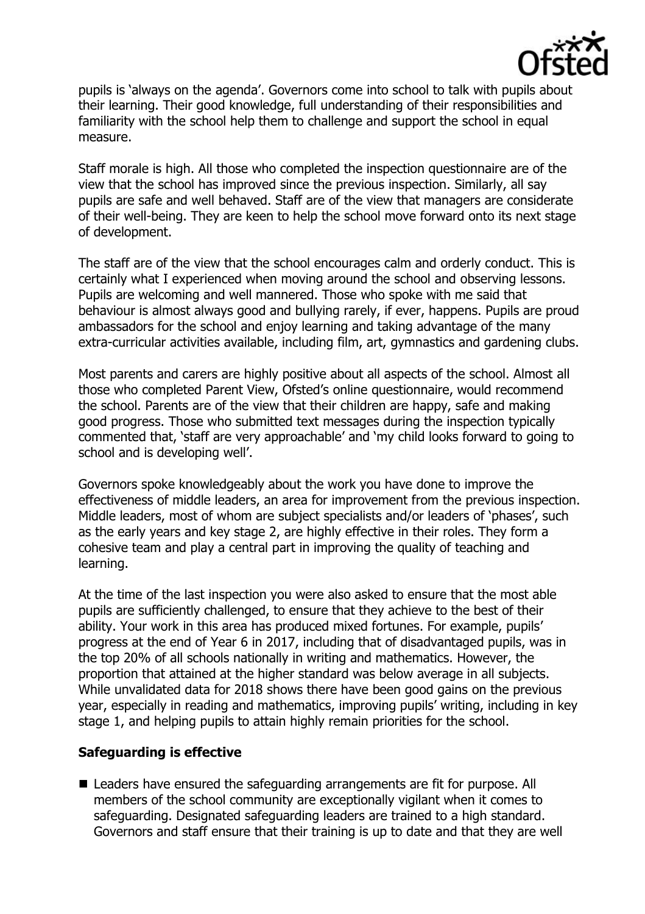

pupils is 'always on the agenda'. Governors come into school to talk with pupils about their learning. Their good knowledge, full understanding of their responsibilities and familiarity with the school help them to challenge and support the school in equal measure.

Staff morale is high. All those who completed the inspection questionnaire are of the view that the school has improved since the previous inspection. Similarly, all say pupils are safe and well behaved. Staff are of the view that managers are considerate of their well-being. They are keen to help the school move forward onto its next stage of development.

The staff are of the view that the school encourages calm and orderly conduct. This is certainly what I experienced when moving around the school and observing lessons. Pupils are welcoming and well mannered. Those who spoke with me said that behaviour is almost always good and bullying rarely, if ever, happens. Pupils are proud ambassadors for the school and enjoy learning and taking advantage of the many extra-curricular activities available, including film, art, gymnastics and gardening clubs.

Most parents and carers are highly positive about all aspects of the school. Almost all those who completed Parent View, Ofsted's online questionnaire, would recommend the school. Parents are of the view that their children are happy, safe and making good progress. Those who submitted text messages during the inspection typically commented that, 'staff are very approachable' and 'my child looks forward to going to school and is developing well'.

Governors spoke knowledgeably about the work you have done to improve the effectiveness of middle leaders, an area for improvement from the previous inspection. Middle leaders, most of whom are subject specialists and/or leaders of 'phases', such as the early years and key stage 2, are highly effective in their roles. They form a cohesive team and play a central part in improving the quality of teaching and learning.

At the time of the last inspection you were also asked to ensure that the most able pupils are sufficiently challenged, to ensure that they achieve to the best of their ability. Your work in this area has produced mixed fortunes. For example, pupils' progress at the end of Year 6 in 2017, including that of disadvantaged pupils, was in the top 20% of all schools nationally in writing and mathematics. However, the proportion that attained at the higher standard was below average in all subjects. While unvalidated data for 2018 shows there have been good gains on the previous year, especially in reading and mathematics, improving pupils' writing, including in key stage 1, and helping pupils to attain highly remain priorities for the school.

## **Safeguarding is effective**

■ Leaders have ensured the safeguarding arrangements are fit for purpose. All members of the school community are exceptionally vigilant when it comes to safeguarding. Designated safeguarding leaders are trained to a high standard. Governors and staff ensure that their training is up to date and that they are well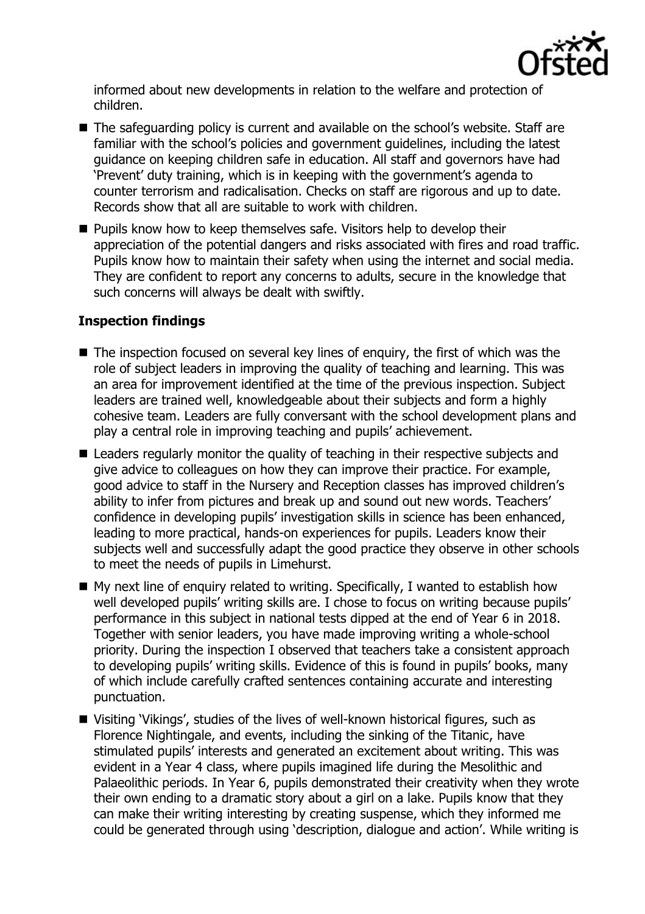

informed about new developments in relation to the welfare and protection of children.

- The safeguarding policy is current and available on the school's website. Staff are familiar with the school's policies and government guidelines, including the latest guidance on keeping children safe in education. All staff and governors have had 'Prevent' duty training, which is in keeping with the government's agenda to counter terrorism and radicalisation. Checks on staff are rigorous and up to date. Records show that all are suitable to work with children.
- **Pupils know how to keep themselves safe. Visitors help to develop their** appreciation of the potential dangers and risks associated with fires and road traffic. Pupils know how to maintain their safety when using the internet and social media. They are confident to report any concerns to adults, secure in the knowledge that such concerns will always be dealt with swiftly.

# **Inspection findings**

- $\blacksquare$  The inspection focused on several key lines of enquiry, the first of which was the role of subject leaders in improving the quality of teaching and learning. This was an area for improvement identified at the time of the previous inspection. Subject leaders are trained well, knowledgeable about their subjects and form a highly cohesive team. Leaders are fully conversant with the school development plans and play a central role in improving teaching and pupils' achievement.
- Leaders regularly monitor the quality of teaching in their respective subjects and give advice to colleagues on how they can improve their practice. For example, good advice to staff in the Nursery and Reception classes has improved children's ability to infer from pictures and break up and sound out new words. Teachers' confidence in developing pupils' investigation skills in science has been enhanced, leading to more practical, hands-on experiences for pupils. Leaders know their subjects well and successfully adapt the good practice they observe in other schools to meet the needs of pupils in Limehurst.
- My next line of enquiry related to writing. Specifically, I wanted to establish how well developed pupils' writing skills are. I chose to focus on writing because pupils' performance in this subject in national tests dipped at the end of Year 6 in 2018. Together with senior leaders, you have made improving writing a whole-school priority. During the inspection I observed that teachers take a consistent approach to developing pupils' writing skills. Evidence of this is found in pupils' books, many of which include carefully crafted sentences containing accurate and interesting punctuation.
- Visiting 'Vikings', studies of the lives of well-known historical figures, such as Florence Nightingale, and events, including the sinking of the Titanic, have stimulated pupils' interests and generated an excitement about writing. This was evident in a Year 4 class, where pupils imagined life during the Mesolithic and Palaeolithic periods. In Year 6, pupils demonstrated their creativity when they wrote their own ending to a dramatic story about a girl on a lake. Pupils know that they can make their writing interesting by creating suspense, which they informed me could be generated through using 'description, dialogue and action'. While writing is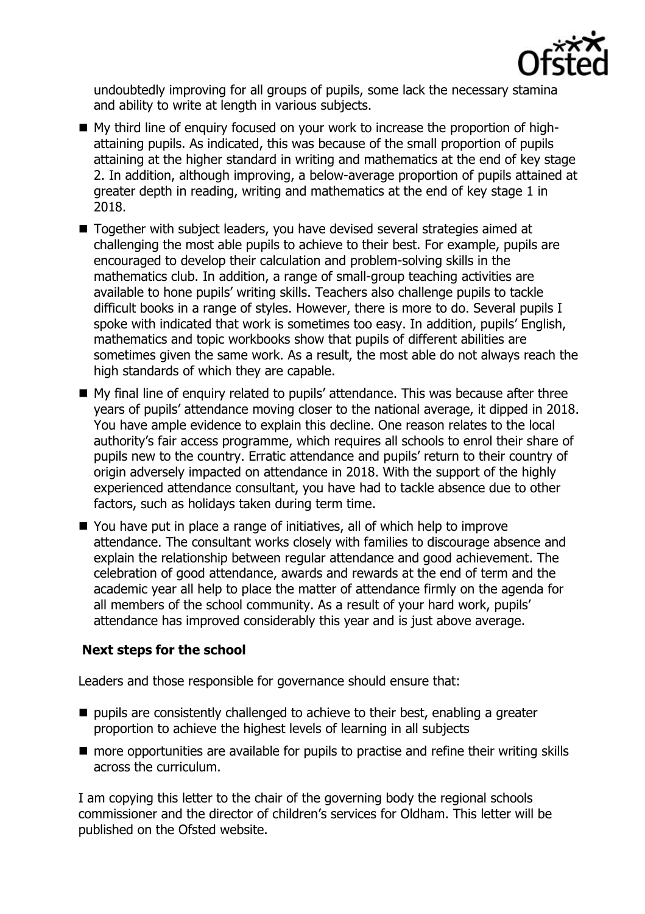

undoubtedly improving for all groups of pupils, some lack the necessary stamina and ability to write at length in various subjects.

- My third line of enquiry focused on your work to increase the proportion of highattaining pupils. As indicated, this was because of the small proportion of pupils attaining at the higher standard in writing and mathematics at the end of key stage 2. In addition, although improving, a below-average proportion of pupils attained at greater depth in reading, writing and mathematics at the end of key stage 1 in 2018.
- Together with subject leaders, you have devised several strategies aimed at challenging the most able pupils to achieve to their best. For example, pupils are encouraged to develop their calculation and problem-solving skills in the mathematics club. In addition, a range of small-group teaching activities are available to hone pupils' writing skills. Teachers also challenge pupils to tackle difficult books in a range of styles. However, there is more to do. Several pupils I spoke with indicated that work is sometimes too easy. In addition, pupils' English, mathematics and topic workbooks show that pupils of different abilities are sometimes given the same work. As a result, the most able do not always reach the high standards of which they are capable.
- My final line of enquiry related to pupils' attendance. This was because after three years of pupils' attendance moving closer to the national average, it dipped in 2018. You have ample evidence to explain this decline. One reason relates to the local authority's fair access programme, which requires all schools to enrol their share of pupils new to the country. Erratic attendance and pupils' return to their country of origin adversely impacted on attendance in 2018. With the support of the highly experienced attendance consultant, you have had to tackle absence due to other factors, such as holidays taken during term time.
- You have put in place a range of initiatives, all of which help to improve attendance. The consultant works closely with families to discourage absence and explain the relationship between regular attendance and good achievement. The celebration of good attendance, awards and rewards at the end of term and the academic year all help to place the matter of attendance firmly on the agenda for all members of the school community. As a result of your hard work, pupils' attendance has improved considerably this year and is just above average.

## **Next steps for the school**

Leaders and those responsible for governance should ensure that:

- $\blacksquare$  pupils are consistently challenged to achieve to their best, enabling a greater proportion to achieve the highest levels of learning in all subjects
- more opportunities are available for pupils to practise and refine their writing skills across the curriculum.

I am copying this letter to the chair of the governing body the regional schools commissioner and the director of children's services for Oldham. This letter will be published on the Ofsted website.